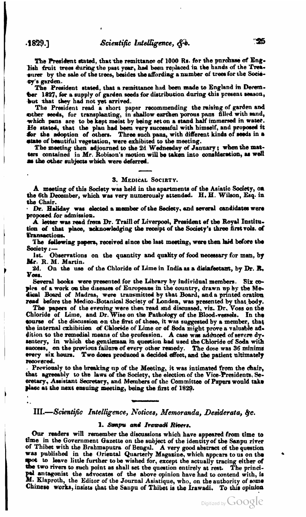The President stated, that the remittance of 1000 Rs. for the purchase of English fruit trees during the past year, had been replaced in the hands of the Treasurer by the sale of the trees, besides the affording a number of trees for the Socievy's garden.

The President stated, that a remittance had been made to England in December 1827, for a supply of garden seeds for distribution during this present season, but that they had not yet arrived.

The President read a short paper recommending the raising of garden and other seeds, for transplanting, in shallow earthen porous pans filled with sand, which pans are to be kept moist by being set on a stand half immersed in water. He stated, that the plan had been very successful with himself, and proposed it for the adoption of others. Three such pans, with different kinds of seeds in a state of beautiful vegetation, were exhibited to the meeting.

The meeting then adjourned to the 2d Wednesday of January; when the matters contained in Mr. Robison's motion will be taken into consideration, as well as the other subjects which were deferred.

## 3. MEDICAL SOCIETY.

A meeting of this Society was held in the apartments of the Asiatic Society, on the 6th December, which was very numerously attended. H. H. Wilson, Esq. in the Chair.

Dr. Haliday was elected a member of the Seciety, and several candidates were proposed for admission.

A letter was read from Dr. Traill of Liverpool, President of the Royal Institution of that place, acknowledging the receipt of the Society's three first vols. of Transactions.

The following papers, received since the last meeting, were then haid before the Society:

Observations on the quantity and quality of food necessary for man, by lst. Mr. R. M. Martin.

2d. On the use of the Chloride of Lime in India as a disinfectant, by Dr. R. Voss.

Several books were presented for the Library by individual members. Six copies of a work on the diseases of Europeans in the country, drawn up by the Medical Board of Madras, were transmitted by that Board, and a printed oration read before the Medico-Botanical Society of London, was presented by that body.

The papers of the evening were then read and discussed, viz. Dr. Voss on the Chloride of Lime, and Dr. Wise on the Pathology of the Blood-vessels. In the course of the discussion on the first of these, it was suggested by a member, that the internal exhibition of Chloride of Lime or of Soda might prove a valuable addition to the remedial means of the profession. A case was adduced of severe dysentery, in which the gentleman in question had used the Chloride of Soda with success, on the previous failure of every other remedy. The dose was 36 minims every six hours. Two doses produced a decided effect, and the patient ultimately recovered.

Previously to the breaking up of the Meeting, it was intimated from the chair, that agreeably to the laws of the Society, the election of the Vice-Presidents. Secretary, Assistant Secretary, and Members of the Committee of Papers would take place at the next ensuing meeting, being the first of 1829.

## III.-Scientific Intelligence, Notices, Memoranda, Desiderata, &c.

## 1. Sanpu and Irawadi Rivers.

Our readers will remember the discussions which have appeared from time to time in the Government Gazette on the subject of the identity of the Sanpu river of Thibet with the Brahmaputra of Bengal. A very good abstract of the question was published in the Oriental Quarterly Magazine, which appears to us on the spot to leave little further to be wished for, except the actually tracing either of the two rivers to such point as shall set the question entirely at rest. The principel antagonist the advocates of the above opinion have had to contend with, is  $M$ . Klaproth, the Editor of the Journal Asiatique, who, on the authority of some Chinese works, insists that the Sanpu of Thibet is the Irawadi. To this opinion